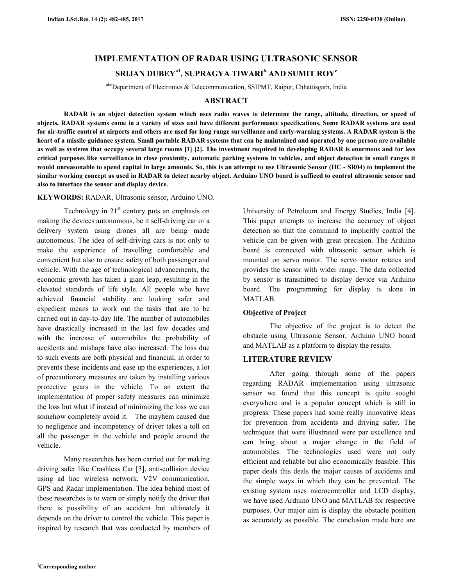# **IMPLEMENTATION OF RADAR USING ULTRASONIC SENSOR SRIJAN DUBEYa1, SUPRAGYA TIWARI<sup>b</sup> AND SUMIT ROY<sup>c</sup>**

abcDepartment of Electronics & Telecommunication, SSIPMT, Raipur, Chhattisgarh, India

### **ABSTRACT**

 **RADAR is an object detection system which uses radio waves to determine the range, altitude, direction, or speed of objects. RADAR systems come in a variety of sizes and have different performance specifications. Some RADAR systems are used for air-traffic control at airports and others are used for long range surveillance and early-warning systems. A RADAR system is the heart of a missile guidance system. Small portable RADAR systems that can be maintained and operated by one person are available as well as systems that occupy several large rooms [1] [2]. The investment required in developing RADAR is enormous and for less critical purposes like surveillance in close proximity, automatic parking systems in vehicles, and object detection in small ranges it would unreasonable to spend capital in large amounts. So, this is an attempt to use Ultrasonic Sensor (HC - SR04) to implement the similar working concept as used in RADAR to detect nearby object. Arduino UNO board is sufficed to control ultrasonic sensor and also to interface the sensor and display device.** 

### **KEYWORDS:** RADAR, Ultrasonic sensor, Arduino UNO.

Technology in  $21<sup>st</sup>$  century puts an emphasis on making the devices autonomous, be it self-driving car or a delivery system using drones all are being made autonomous. The idea of self-driving cars is not only to make the experience of travelling comfortable and convenient but also to ensure safety of both passenger and vehicle. With the age of technological advancements, the economic growth has taken a giant leap, resulting in the elevated standards of life style. All people who have achieved financial stability are looking safer and expedient means to work out the tasks that are to be carried out in day-to-day life. The number of automobiles have drastically increased in the last few decades and with the increase of automobiles the probability of accidents and mishaps have also increased. The loss due to such events are both physical and financial, in order to prevents these incidents and ease up the experiences, a lot of precautionary measures are taken by installing various protective gears in the vehicle. To an extent the implementation of proper safety measures can minimize the loss but what if instead of minimizing the loss we can somehow completely avoid it. The mayhem caused due to negligence and incompetency of driver takes a toll on all the passenger in the vehicle and people around the vehicle.

 Many researches has been carried out for making driving safer like Crashless Car [3], anti-collision device using ad hoc wireless network, V2V communication, GPS and Radar implementation. The idea behind most of these researches is to warn or simply notify the driver that there is possibility of an accident but ultimately it depends on the driver to control the vehicle. This paper is inspired by research that was conducted by members of University of Petroleum and Energy Studies, India [4]. This paper attempts to increase the accuracy of object detection so that the command to implicitly control the vehicle can be given with great precision. The Arduino board is connected with ultrasonic sensor which is mounted on servo motor. The servo motor rotates and provides the sensor with wider range. The data collected by sensor is transmitted to display device via Arduino board. The programming for display is done in MATLAB.

### **Objective of Project**

 The objective of the project is to detect the obstacle using Ultrasonic Sensor, Arduino UNO board and MATLAB as a platform to display the results.

# **LITERATURE REVIEW**

 After going through some of the papers regarding RADAR implementation using ultrasonic sensor we found that this concept is quite sought everywhere and is a popular concept which is still in progress. These papers had some really innovative ideas for prevention from accidents and driving safer. The techniques that were illustrated were par excellence and can bring about a major change in the field of automobiles. The technologies used were not only efficient and reliable but also economically feasible. This paper deals this deals the major causes of accidents and the simple ways in which they can be prevented. The existing system uses microcontroller and LCD display, we have used Arduino UNO and MATLAB for respective purposes. Our major aim is display the obstacle position as accurately as possible. The conclusion made here are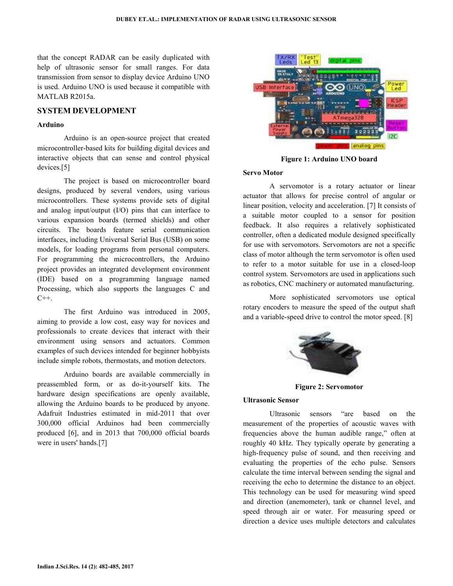that the concept RADAR can be easily duplicated with help of ultrasonic sensor for small ranges. For data transmission from sensor to display device Arduino UNO is used. Arduino UNO is used because it compatible with MATLAB R2015a.

# **SYSTEM DEVELOPMENT**

#### **Arduino**

 Arduino is an open-source project that created microcontroller-based kits for building digital devices and interactive objects that can sense and control physical devices.[5]

 The project is based on microcontroller board designs, produced by several vendors, using various microcontrollers. These systems provide sets of digital and analog input/output (I/O) pins that can interface to various expansion boards (termed shields) and other circuits. The boards feature serial communication interfaces, including Universal Serial Bus (USB) on some models, for loading programs from personal computers. For programming the microcontrollers, the Arduino project provides an integrated development environment (IDE) based on a programming language named Processing, which also supports the languages C and  $C++$ .

 The first Arduino was introduced in 2005, aiming to provide a low cost, easy way for novices and professionals to create devices that interact with their environment using sensors and actuators. Common examples of such devices intended for beginner hobbyists include simple robots, thermostats, and motion detectors.

 Arduino boards are available commercially in preassembled form, or as do-it-yourself kits. The hardware design specifications are openly available, allowing the Arduino boards to be produced by anyone. Adafruit Industries estimated in mid-2011 that over 300,000 official Arduinos had been commercially produced [6], and in 2013 that 700,000 official boards were in users' hands.[7]



**Figure 1: Arduino UNO board** 

### **Servo Motor**

 A servomotor is a rotary actuator or linear actuator that allows for precise control of angular or linear position, velocity and acceleration. [7] It consists of a suitable motor coupled to a sensor for position feedback. It also requires a relatively sophisticated controller, often a dedicated module designed specifically for use with servomotors. Servomotors are not a specific class of motor although the term servomotor is often used to refer to a motor suitable for use in a closed-loop control system. Servomotors are used in applications such as robotics, CNC machinery or automated manufacturing.

 More sophisticated servomotors use optical rotary encoders to measure the speed of the output shaft and a variable-speed drive to control the motor speed. [8]



**Figure 2: Servomotor** 

#### **Ultrasonic Sensor**

 Ultrasonic sensors "are based on the measurement of the properties of acoustic waves with frequencies above the human audible range," often at roughly 40 kHz. They typically operate by generating a high-frequency pulse of sound, and then receiving and evaluating the properties of the echo pulse. Sensors calculate the time interval between sending the signal and receiving the echo to determine the distance to an object. This technology can be used for measuring wind speed and direction (anemometer), tank or channel level, and speed through air or water. For measuring speed or direction a device uses multiple detectors and calculates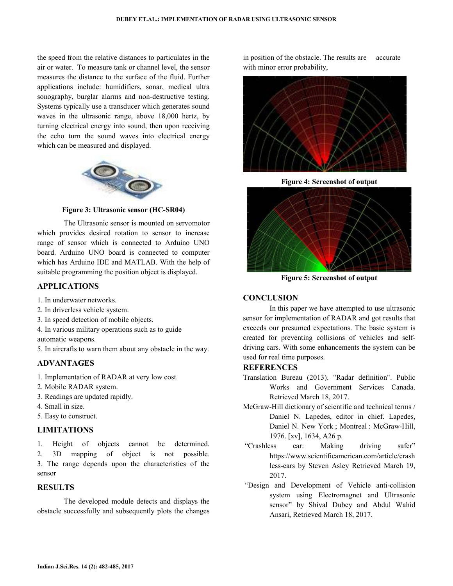the speed from the relative distances to particulates in the air or water. To measure tank or channel level, the sensor measures the distance to the surface of the fluid. Further applications include: humidifiers, sonar, medical ultra sonography, burglar alarms and non-destructive testing. Systems typically use a transducer which generates sound waves in the ultrasonic range, above 18,000 hertz, by turning electrical energy into sound, then upon receiving the echo turn the sound waves into electrical energy which can be measured and displayed.



**Figure 3: Ultrasonic sensor (HC-SR04)** 

 The Ultrasonic sensor is mounted on servomotor which provides desired rotation to sensor to increase range of sensor which is connected to Arduino UNO board. Arduino UNO board is connected to computer which has Arduino IDE and MATLAB. With the help of suitable programming the position object is displayed.

# **APPLICATIONS**

- 1. In underwater networks.
- 2. In driverless vehicle system.
- 3. In speed detection of mobile objects.
- 4. In various military operations such as to guide
- automatic weapons.
- 5. In aircrafts to warn them about any obstacle in the way.

# **ADVANTAGES**

- 1. Implementation of RADAR at very low cost.
- 2. Mobile RADAR system.
- 3. Readings are updated rapidly.
- 4. Small in size.
- 5. Easy to construct.

# **LIMITATIONS**

1. Height of objects cannot be determined.

2. 3D mapping of object is not possible. 3. The range depends upon the characteristics of the sensor

# **RESULTS**

The developed module detects and displays the obstacle successfully and subsequently plots the changes in position of the obstacle. The results are accurate with minor error probability,



**Figure 4: Screenshot of output** 



**Figure 5: Screenshot of output** 

# **CONCLUSION**

 In this paper we have attempted to use ultrasonic sensor for implementation of RADAR and got results that exceeds our presumed expectations. The basic system is created for preventing collisions of vehicles and selfdriving cars. With some enhancements the system can be used for real time purposes.

# **REFERENCES**

- Translation Bureau (2013). "Radar definition". Public Works and Government Services Canada. Retrieved March 18, 2017.
- McGraw-Hill dictionary of scientific and technical terms / Daniel N. Lapedes, editor in chief. Lapedes, Daniel N. New York ; Montreal : McGraw-Hill, 1976. [xv], 1634, A26 p.
- "Crashless car: Making driving safer" https://www.scientificamerican.com/article/crash less-cars by Steven Asley Retrieved March 19, 2017.
- "Design and Development of Vehicle anti-collision system using Electromagnet and Ultrasonic sensor" by Shival Dubey and Abdul Wahid Ansari, Retrieved March 18, 2017.